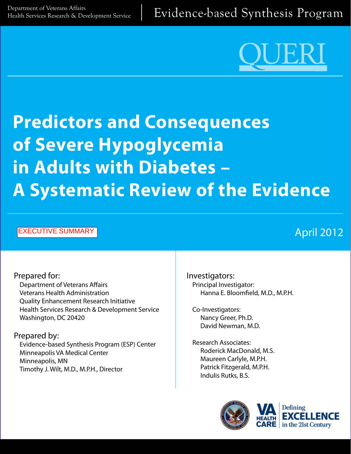[Department of Veterans Affairs](http://www.hsrd.research.va.gov/)<br>Health Services Research & Development Service | Evidence-based Synthesis Program



# **Predictors and Consequences of Severe Hypoglycemia in Adults with Diabetes – A Systematic Review of the Evidence**

#### EXECUTIVE SUMMARY

# April 2012

#### Prepared for: Department of Veterans Affairs Veterans Health Administration Quality Enhancement Research Initiative Health Services Research & Development Service Washington, DC 20420

Prepared by: Evidence-based Synthesis Program (ESP) Center Minneapolis VA Medical Center Minneapolis, MN Timothy J. Wilt, M.D., M.P.H., Director

Investigators: Principal Investigator: Hanna E. Bloomfield, M.D., M.P.H.

Co-Investigators: Nancy Greer, Ph.D. David Newman, M.D.

Research Associates: Roderick MacDonald, M.S. Maureen Carlyle, M.P.H. Patrick Fitzgerald, M.P.H. Indulis Rutks, B.S.



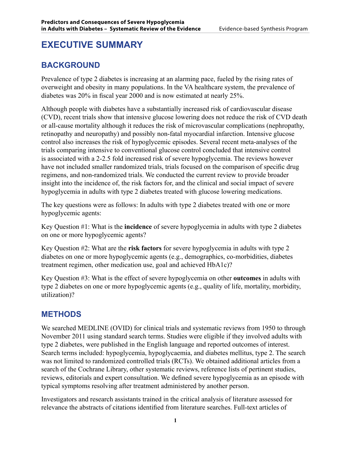# **EXECUTIVE SUMMARY**

# **BACKGROUND**

Prevalence of type 2 diabetes is increasing at an alarming pace, fueled by the rising rates of overweight and obesity in many populations. In the VA healthcare system, the prevalence of diabetes was 20% in fiscal year 2000 and is now estimated at nearly 25%.

Although people with diabetes have a substantially increased risk of cardiovascular disease (CVD), recent trials show that intensive glucose lowering does not reduce the risk of CVD death or all-cause mortality although it reduces the risk of microvascular complications (nephropathy, retinopathy and neuropathy) and possibly non-fatal myocardial infarction. Intensive glucose control also increases the risk of hypoglycemic episodes. Several recent meta-analyses of the trials comparing intensive to conventional glucose control concluded that intensive control is associated with a 2-2.5 fold increased risk of severe hypoglycemia. The reviews however have not included smaller randomized trials, trials focused on the comparison of specific drug regimens, and non-randomized trials. We conducted the current review to provide broader insight into the incidence of, the risk factors for, and the clinical and social impact of severe hypoglycemia in adults with type 2 diabetes treated with glucose lowering medications.

The key questions were as follows: In adults with type 2 diabetes treated with one or more hypoglycemic agents:

Key Question #1: What is the **incidence** of severe hypoglycemia in adults with type 2 diabetes on one or more hypoglycemic agents?

Key Question #2: What are the **risk factors** for severe hypoglycemia in adults with type 2 diabetes on one or more hypoglycemic agents (e.g., demographics, co-morbidities, diabetes treatment regimen, other medication use, goal and achieved HbA1c)?

Key Question #3: What is the effect of severe hypoglycemia on other **outcomes** in adults with type 2 diabetes on one or more hypoglycemic agents (e.g., quality of life, mortality, morbidity, utilization)?

## **METHODS**

We searched MEDLINE (OVID) for clinical trials and systematic reviews from 1950 to through November 2011 using standard search terms. Studies were eligible if they involved adults with type 2 diabetes, were published in the English language and reported outcomes of interest. Search terms included: hypoglycemia, hypoglycaemia, and diabetes mellitus, type 2. The search was not limited to randomized controlled trials (RCTs). We obtained additional articles from a search of the Cochrane Library, other systematic reviews, reference lists of pertinent studies, reviews, editorials and expert consultation. We defined severe hypoglycemia as an episode with typical symptoms resolving after treatment administered by another person.

Investigators and research assistants trained in the critical analysis of literature assessed for relevance the abstracts of citations identified from literature searches. Full-text articles of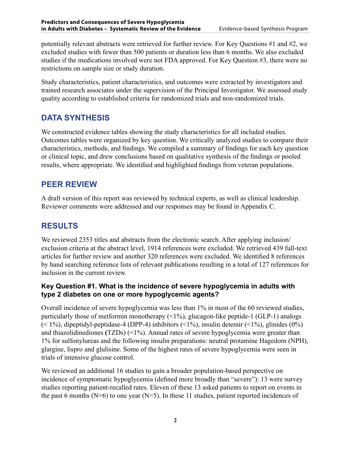potentially relevant abstracts were retrieved for further review. For Key Questions #1 and #2, we excluded studies with fewer than 500 patients or duration less than 6 months. We also excluded studies if the medications involved were not FDA approved. For Key Question #3, there were no restrictions on sample size or study duration.

Study characteristics, patient characteristics, and outcomes were extracted by investigators and trained research associates under the supervision of the Principal Investigator. We assessed study quality according to established criteria for randomized trials and non-randomized trials.

# **DATA SYNTHESIS**

We constructed evidence tables showing the study characteristics for all included studies. Outcomes tables were organized by key question. We critically analyzed studies to compare their characteristics, methods, and findings. We compiled a summary of findings for each key question or clinical topic, and drew conclusions based on qualitative synthesis of the findings or pooled results, where appropriate. We identified and highlighted findings from veteran populations.

## **PEER REVIEW**

A draft version of this report was reviewed by technical experts, as well as clinical leadership. Reviewer comments were addressed and our responses may be found in Appendix C.

# **RESULTS**

We reviewed 2353 titles and abstracts from the electronic search. After applying inclusion/ exclusion criteria at the abstract level, 1914 references were excluded. We retrieved 439 full-text articles for further review and another 320 references were excluded. We identified 8 references by hand searching reference lists of relevant publications resulting in a total of 127 references for inclusion in the current review.

#### **Key Question #1. What is the incidence of severe hypoglycemia in adults with type 2 diabetes on one or more hypoglycemic agents?**

Overall incidence of severe hypoglycemia was less than 1% in most of the 60 reviewed studies, particularly those of metformin monotherapy  $(\leq 1\%)$ , glucagon-like peptide-1 (GLP-1) analogs  $($  < 1%), dipeptidyl-peptidase-4 (DPP-4) inhibitors  $($  < 1%), insulin detemir  $($  < 1%), glinides  $(0\%)$ and thiazolidinediones **(**TZDs) (<1%). Annual rates of severe hypoglycemia were greater than 1% for sulfonylureas and the following insulin preparations: neutral protamine Hagedorn (NPH), glargine, lispro and glulisine. Some of the highest rates of severe hypoglycemia were seen in trials of intensive glucose control.

We reviewed an additional 16 studies to gain a broader population-based perspective on incidence of symptomatic hypoglycemia (defined more broadly than "severe"): 13 were survey studies reporting patient-recalled rates. Eleven of these 13 asked patients to report on events in the past 6 months ( $N=6$ ) to one year ( $N=5$ ). In these 11 studies, patient reported incidences of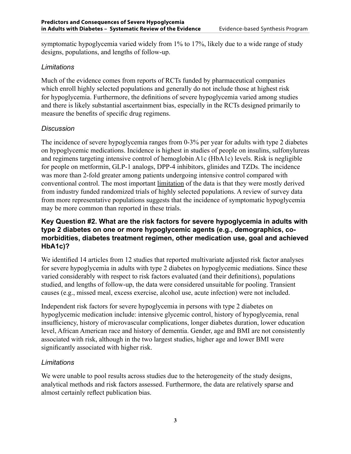symptomatic hypoglycemia varied widely from 1% to 17%, likely due to a wide range of study designs, populations, and lengths of follow-up.

#### *Limitations*

Much of the evidence comes from reports of RCTs funded by pharmaceutical companies which enroll highly selected populations and generally do not include those at highest risk for hypoglycemia. Furthermore, the definitions of severe hypoglycemia varied among studies and there is likely substantial ascertainment bias, especially in the RCTs designed primarily to measure the benefits of specific drug regimens.

#### *Discussion*

The incidence of severe hypoglycemia ranges from 0-3% per year for adults with type 2 diabetes on hypoglycemic medications. Incidence is highest in studies of people on insulins, sulfonylureas and regimens targeting intensive control of hemoglobin A1c (HbA1c) levels. Risk is negligible for people on metformin, GLP-1 analogs, DPP-4 inhibitors, glinides and TZDs. The incidence was more than 2-fold greater among patients undergoing intensive control compared with conventional control. The most important limitation of the data is that they were mostly derived from industry funded randomized trials of highly selected populations. A review of survey data from more representative populations suggests that the incidence of symptomatic hypoglycemia may be more common than reported in these trials.

#### **Key Question #2. What are the risk factors for severe hypoglycemia in adults with type 2 diabetes on one or more hypoglycemic agents (e.g., demographics, comorbidities, diabetes treatment regimen, other medication use, goal and achieved HbA1c)?**

We identified 14 articles from 12 studies that reported multivariate adjusted risk factor analyses for severe hypoglycemia in adults with type 2 diabetes on hypoglycemic mediations. Since these varied considerably with respect to risk factors evaluated (and their definitions), populations studied, and lengths of follow-up, the data were considered unsuitable for pooling. Transient causes (e.g., missed meal, excess exercise, alcohol use, acute infection) were not included.

Independent risk factors for severe hypoglycemia in persons with type 2 diabetes on hypoglycemic medication include: intensive glycemic control, history of hypoglycemia, renal insufficiency, history of microvascular complications, longer diabetes duration, lower education level, African American race and history of dementia. Gender, age and BMI are not consistently associated with risk, although in the two largest studies, higher age and lower BMI were significantly associated with higher risk.

#### *Limitations*

We were unable to pool results across studies due to the heterogeneity of the study designs, analytical methods and risk factors assessed. Furthermore, the data are relatively sparse and almost certainly reflect publication bias.